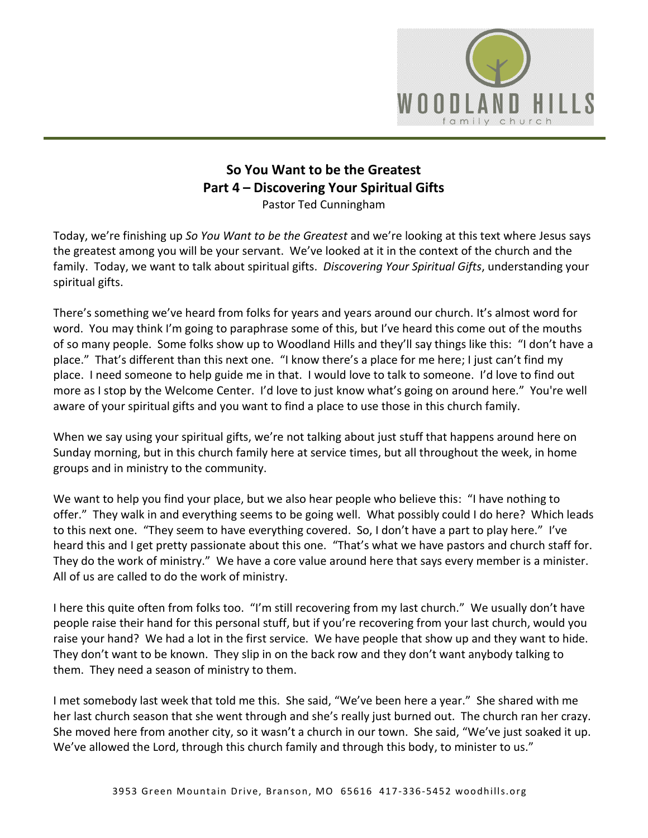

# **So You Want to be the Greatest Part 4 – Discovering Your Spiritual Gifts**  Pastor Ted Cunningham

Today, we're finishing up *So You Want to be the Greatest* and we're looking at this text where Jesus says the greatest among you will be your servant. We've looked at it in the context of the church and the family. Today, we want to talk about spiritual gifts. *Discovering Your Spiritual Gifts*, understanding your spiritual gifts.

There's something we've heard from folks for years and years around our church. It's almost word for word. You may think I'm going to paraphrase some of this, but I've heard this come out of the mouths of so many people. Some folks show up to Woodland Hills and they'll say things like this: "I don't have a place." That's different than this next one. "I know there's a place for me here; I just can't find my place. I need someone to help guide me in that. I would love to talk to someone. I'd love to find out more as I stop by the Welcome Center. I'd love to just know what's going on around here." You're well aware of your spiritual gifts and you want to find a place to use those in this church family.

When we say using your spiritual gifts, we're not talking about just stuff that happens around here on Sunday morning, but in this church family here at service times, but all throughout the week, in home groups and in ministry to the community.

We want to help you find your place, but we also hear people who believe this: "I have nothing to offer." They walk in and everything seems to be going well. What possibly could I do here? Which leads to this next one. "They seem to have everything covered. So, I don't have a part to play here." I've heard this and I get pretty passionate about this one. "That's what we have pastors and church staff for. They do the work of ministry." We have a core value around here that says every member is a minister. All of us are called to do the work of ministry.

I here this quite often from folks too. "I'm still recovering from my last church." We usually don't have people raise their hand for this personal stuff, but if you're recovering from your last church, would you raise your hand? We had a lot in the first service. We have people that show up and they want to hide. They don't want to be known. They slip in on the back row and they don't want anybody talking to them. They need a season of ministry to them.

I met somebody last week that told me this. She said, "We've been here a year." She shared with me her last church season that she went through and she's really just burned out. The church ran her crazy. She moved here from another city, so it wasn't a church in our town. She said, "We've just soaked it up. We've allowed the Lord, through this church family and through this body, to minister to us."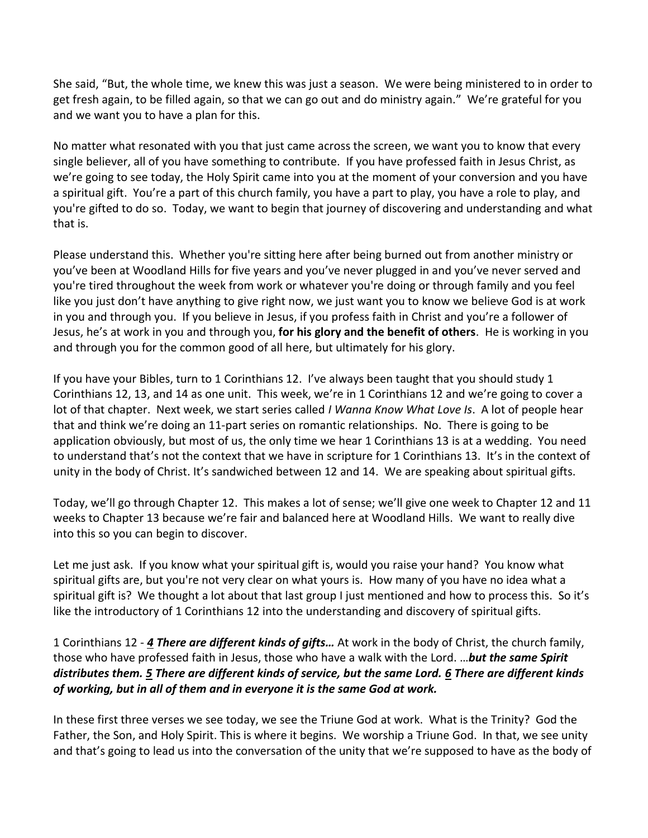She said, "But, the whole time, we knew this was just a season. We were being ministered to in order to get fresh again, to be filled again, so that we can go out and do ministry again." We're grateful for you and we want you to have a plan for this.

No matter what resonated with you that just came across the screen, we want you to know that every single believer, all of you have something to contribute. If you have professed faith in Jesus Christ, as we're going to see today, the Holy Spirit came into you at the moment of your conversion and you have a spiritual gift. You're a part of this church family, you have a part to play, you have a role to play, and you're gifted to do so. Today, we want to begin that journey of discovering and understanding and what that is.

Please understand this. Whether you're sitting here after being burned out from another ministry or you've been at Woodland Hills for five years and you've never plugged in and you've never served and you're tired throughout the week from work or whatever you're doing or through family and you feel like you just don't have anything to give right now, we just want you to know we believe God is at work in you and through you. If you believe in Jesus, if you profess faith in Christ and you're a follower of Jesus, he's at work in you and through you, **for his glory and the benefit of others**. He is working in you and through you for the common good of all here, but ultimately for his glory.

If you have your Bibles, turn to 1 Corinthians 12. I've always been taught that you should study 1 Corinthians 12, 13, and 14 as one unit. This week, we're in 1 Corinthians 12 and we're going to cover a lot of that chapter. Next week, we start series called *I Wanna Know What Love Is*. A lot of people hear that and think we're doing an 11-part series on romantic relationships. No. There is going to be application obviously, but most of us, the only time we hear 1 Corinthians 13 is at a wedding. You need to understand that's not the context that we have in scripture for 1 Corinthians 13. It's in the context of unity in the body of Christ. It's sandwiched between 12 and 14. We are speaking about spiritual gifts.

Today, we'll go through Chapter 12. This makes a lot of sense; we'll give one week to Chapter 12 and 11 weeks to Chapter 13 because we're fair and balanced here at Woodland Hills. We want to really dive into this so you can begin to discover.

Let me just ask. If you know what your spiritual gift is, would you raise your hand? You know what spiritual gifts are, but you're not very clear on what yours is. How many of you have no idea what a spiritual gift is? We thought a lot about that last group I just mentioned and how to process this. So it's like the introductory of 1 Corinthians 12 into the understanding and discovery of spiritual gifts.

1 Corinthians 12 - *[4](https://www.studylight.org/desk/?q=1co%2012:4&t1=en_niv&sr=1) There are different kinds of gifts…* At work in the body of Christ, the church family, those who have professed faith in Jesus, those who have a walk with the Lord. …*but the same Spirit distributes them. [5](https://www.studylight.org/desk/?q=1co%2012:5&t1=en_niv&sr=1) There are different kinds of service, but the same Lord. [6](https://www.studylight.org/desk/?q=1co%2012:6&t1=en_niv&sr=1) There are different kinds of working, but in all of them and in everyone it is the same God at work.* 

In these first three verses we see today, we see the Triune God at work. What is the Trinity? God the Father, the Son, and Holy Spirit. This is where it begins. We worship a Triune God. In that, we see unity and that's going to lead us into the conversation of the unity that we're supposed to have as the body of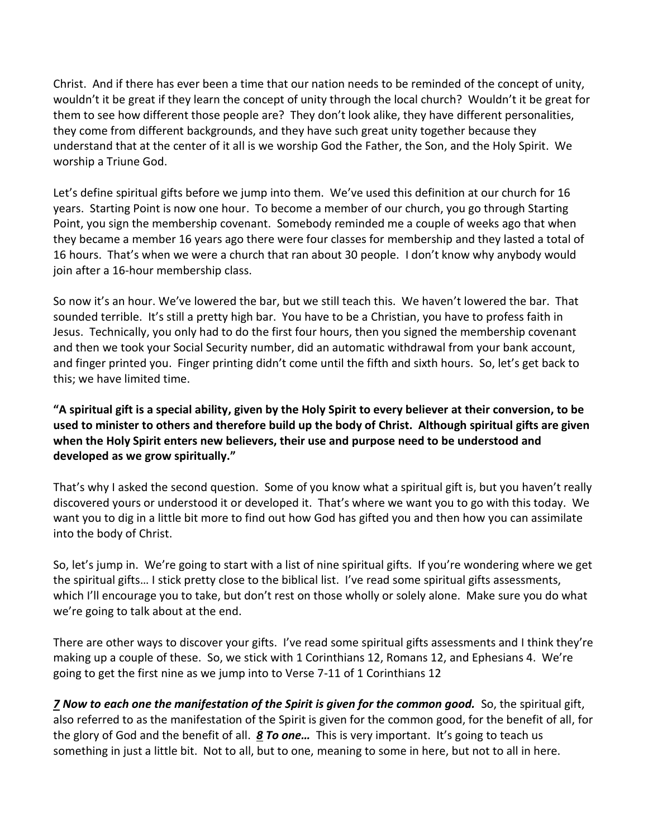Christ. And if there has ever been a time that our nation needs to be reminded of the concept of unity, wouldn't it be great if they learn the concept of unity through the local church? Wouldn't it be great for them to see how different those people are? They don't look alike, they have different personalities, they come from different backgrounds, and they have such great unity together because they understand that at the center of it all is we worship God the Father, the Son, and the Holy Spirit. We worship a Triune God.

Let's define spiritual gifts before we jump into them. We've used this definition at our church for 16 years. Starting Point is now one hour. To become a member of our church, you go through Starting Point, you sign the membership covenant. Somebody reminded me a couple of weeks ago that when they became a member 16 years ago there were four classes for membership and they lasted a total of 16 hours. That's when we were a church that ran about 30 people. I don't know why anybody would join after a 16-hour membership class.

So now it's an hour. We've lowered the bar, but we still teach this. We haven't lowered the bar. That sounded terrible. It's still a pretty high bar. You have to be a Christian, you have to profess faith in Jesus. Technically, you only had to do the first four hours, then you signed the membership covenant and then we took your Social Security number, did an automatic withdrawal from your bank account, and finger printed you. Finger printing didn't come until the fifth and sixth hours. So, let's get back to this; we have limited time.

**"A spiritual gift is a special ability, given by the Holy Spirit to every believer at their conversion, to be used to minister to others and therefore build up the body of Christ. Although spiritual gifts are given when the Holy Spirit enters new believers, their use and purpose need to be understood and developed as we grow spiritually."**

That's why I asked the second question. Some of you know what a spiritual gift is, but you haven't really discovered yours or understood it or developed it. That's where we want you to go with this today. We want you to dig in a little bit more to find out how God has gifted you and then how you can assimilate into the body of Christ.

So, let's jump in. We're going to start with a list of nine spiritual gifts. If you're wondering where we get the spiritual gifts… I stick pretty close to the biblical list. I've read some spiritual gifts assessments, which I'll encourage you to take, but don't rest on those wholly or solely alone. Make sure you do what we're going to talk about at the end.

There are other ways to discover your gifts. I've read some spiritual gifts assessments and I think they're making up a couple of these. So, we stick with 1 Corinthians 12, Romans 12, and Ephesians 4. We're going to get the first nine as we jump into to Verse 7-11 of 1 Corinthians 12

*[7](https://www.studylight.org/desk/?q=1co%2012:7&t1=en_niv&sr=1) Now to each one the manifestation of the Spirit is given for the common good.* So, the spiritual gift, also referred to as the manifestation of the Spirit is given for the common good, for the benefit of all, for the glory of God and the benefit of all. *[8](https://www.studylight.org/desk/?q=1co%2012:8&t1=en_niv&sr=1) To one…* This is very important. It's going to teach us something in just a little bit. Not to all, but to one, meaning to some in here, but not to all in here.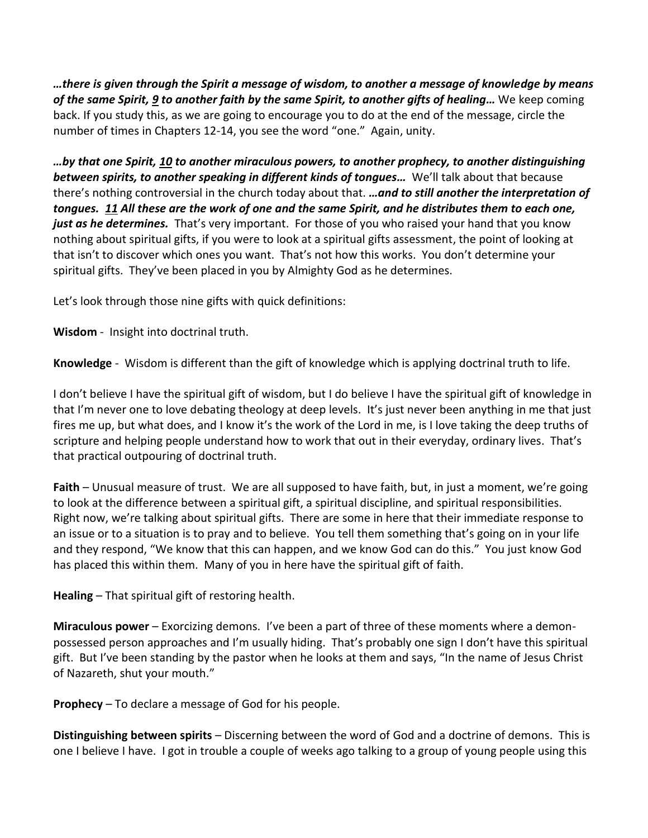*…there is given through the Spirit a message of wisdom, to another a message of knowledge by means of the same Spirit[, 9](https://www.studylight.org/desk/?q=1co%2012:9&t1=en_niv&sr=1) to another faith by the same Spirit, to another gifts of healing…* We keep coming back. If you study this, as we are going to encourage you to do at the end of the message, circle the number of times in Chapters 12-14, you see the word "one." Again, unity.

*…by that one Spirit, [10](https://www.studylight.org/desk/?q=1co%2012:10&t1=en_niv&sr=1) to another miraculous powers, to another prophecy, to another distinguishing between spirits, to another speaking in different kinds of tongues…* We'll talk about that because there's nothing controversial in the church today about that. *…and to still another the interpretation of tongues. [11](https://www.studylight.org/desk/?q=1co%2012:11&t1=en_niv&sr=1) All these are the work of one and the same Spirit, and he distributes them to each one,*  just as he determines. That's very important. For those of you who raised your hand that you know nothing about spiritual gifts, if you were to look at a spiritual gifts assessment, the point of looking at that isn't to discover which ones you want. That's not how this works. You don't determine your spiritual gifts. They've been placed in you by Almighty God as he determines.

Let's look through those nine gifts with quick definitions:

**Wisdom** - Insight into doctrinal truth.

**Knowledge** - Wisdom is different than the gift of knowledge which is applying doctrinal truth to life.

I don't believe I have the spiritual gift of wisdom, but I do believe I have the spiritual gift of knowledge in that I'm never one to love debating theology at deep levels. It's just never been anything in me that just fires me up, but what does, and I know it's the work of the Lord in me, is I love taking the deep truths of scripture and helping people understand how to work that out in their everyday, ordinary lives. That's that practical outpouring of doctrinal truth.

**Faith** – Unusual measure of trust. We are all supposed to have faith, but, in just a moment, we're going to look at the difference between a spiritual gift, a spiritual discipline, and spiritual responsibilities. Right now, we're talking about spiritual gifts. There are some in here that their immediate response to an issue or to a situation is to pray and to believe. You tell them something that's going on in your life and they respond, "We know that this can happen, and we know God can do this." You just know God has placed this within them. Many of you in here have the spiritual gift of faith.

**Healing** – That spiritual gift of restoring health.

**Miraculous power** – Exorcizing demons. I've been a part of three of these moments where a demonpossessed person approaches and I'm usually hiding. That's probably one sign I don't have this spiritual gift. But I've been standing by the pastor when he looks at them and says, "In the name of Jesus Christ of Nazareth, shut your mouth."

**Prophecy** – To declare a message of God for his people.

**Distinguishing between spirits** – Discerning between the word of God and a doctrine of demons. This is one I believe I have. I got in trouble a couple of weeks ago talking to a group of young people using this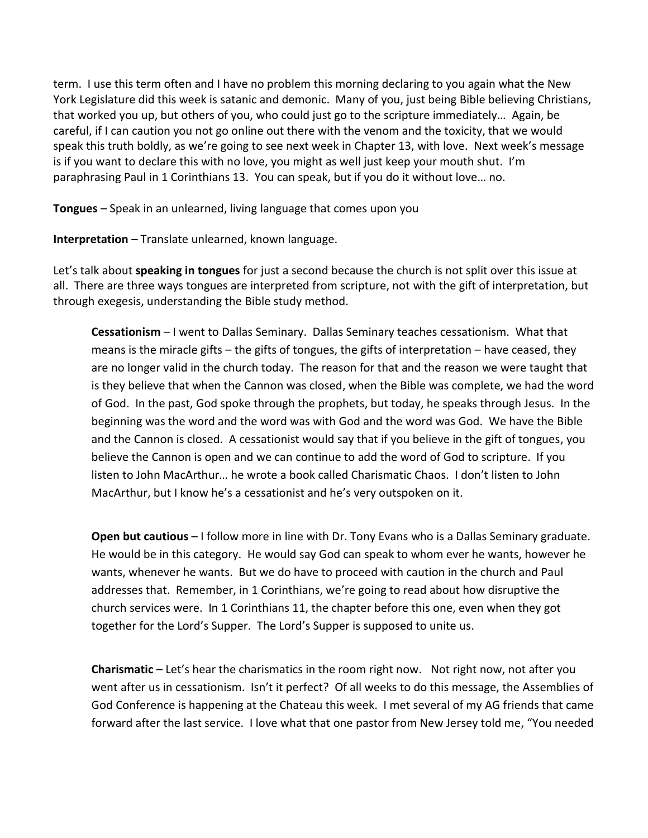term. I use this term often and I have no problem this morning declaring to you again what the New York Legislature did this week is satanic and demonic. Many of you, just being Bible believing Christians, that worked you up, but others of you, who could just go to the scripture immediately… Again, be careful, if I can caution you not go online out there with the venom and the toxicity, that we would speak this truth boldly, as we're going to see next week in Chapter 13, with love. Next week's message is if you want to declare this with no love, you might as well just keep your mouth shut. I'm paraphrasing Paul in 1 Corinthians 13. You can speak, but if you do it without love… no.

**Tongues** – Speak in an unlearned, living language that comes upon you

**Interpretation** – Translate unlearned, known language.

Let's talk about **speaking in tongues** for just a second because the church is not split over this issue at all. There are three ways tongues are interpreted from scripture, not with the gift of interpretation, but through exegesis, understanding the Bible study method.

**Cessationism** – I went to Dallas Seminary. Dallas Seminary teaches cessationism. What that means is the miracle gifts – the gifts of tongues, the gifts of interpretation – have ceased, they are no longer valid in the church today. The reason for that and the reason we were taught that is they believe that when the Cannon was closed, when the Bible was complete, we had the word of God. In the past, God spoke through the prophets, but today, he speaks through Jesus. In the beginning was the word and the word was with God and the word was God. We have the Bible and the Cannon is closed. A cessationist would say that if you believe in the gift of tongues, you believe the Cannon is open and we can continue to add the word of God to scripture. If you listen to John MacArthur… he wrote a book called Charismatic Chaos. I don't listen to John MacArthur, but I know he's a cessationist and he's very outspoken on it.

**Open but cautious** – I follow more in line with Dr. Tony Evans who is a Dallas Seminary graduate. He would be in this category. He would say God can speak to whom ever he wants, however he wants, whenever he wants. But we do have to proceed with caution in the church and Paul addresses that. Remember, in 1 Corinthians, we're going to read about how disruptive the church services were. In 1 Corinthians 11, the chapter before this one, even when they got together for the Lord's Supper. The Lord's Supper is supposed to unite us.

**Charismatic** – Let's hear the charismatics in the room right now. Not right now, not after you went after us in cessationism. Isn't it perfect? Of all weeks to do this message, the Assemblies of God Conference is happening at the Chateau this week. I met several of my AG friends that came forward after the last service. I love what that one pastor from New Jersey told me, "You needed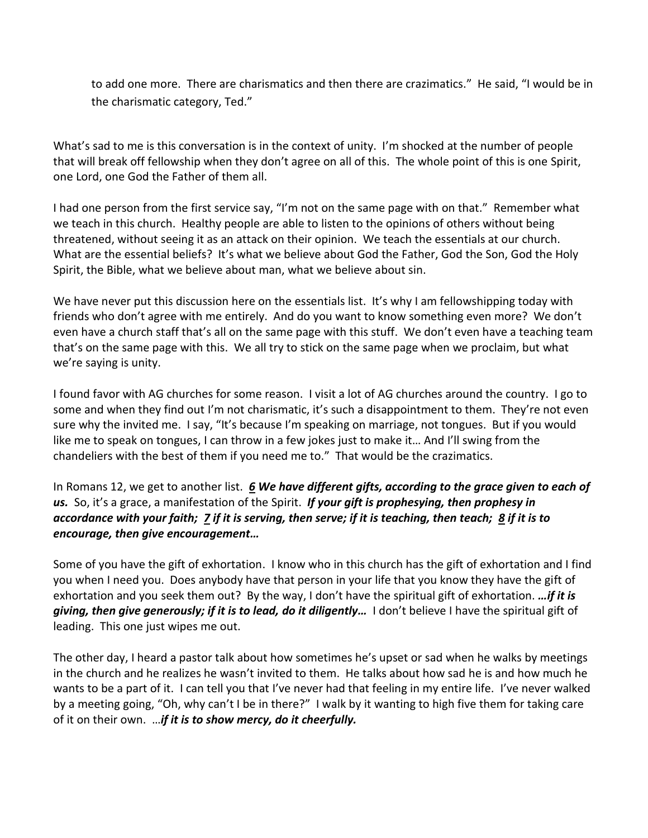to add one more. There are charismatics and then there are crazimatics." He said, "I would be in the charismatic category, Ted."

What's sad to me is this conversation is in the context of unity. I'm shocked at the number of people that will break off fellowship when they don't agree on all of this. The whole point of this is one Spirit, one Lord, one God the Father of them all.

I had one person from the first service say, "I'm not on the same page with on that." Remember what we teach in this church. Healthy people are able to listen to the opinions of others without being threatened, without seeing it as an attack on their opinion. We teach the essentials at our church. What are the essential beliefs? It's what we believe about God the Father, God the Son, God the Holy Spirit, the Bible, what we believe about man, what we believe about sin.

We have never put this discussion here on the essentials list. It's why I am fellowshipping today with friends who don't agree with me entirely. And do you want to know something even more? We don't even have a church staff that's all on the same page with this stuff. We don't even have a teaching team that's on the same page with this. We all try to stick on the same page when we proclaim, but what we're saying is unity.

I found favor with AG churches for some reason. I visit a lot of AG churches around the country. I go to some and when they find out I'm not charismatic, it's such a disappointment to them. They're not even sure why the invited me. I say, "It's because I'm speaking on marriage, not tongues. But if you would like me to speak on tongues, I can throw in a few jokes just to make it… And I'll swing from the chandeliers with the best of them if you need me to." That would be the crazimatics.

In Romans 12, we get to another list. *[6](https://www.studylight.org/desk/?q=ro%2012:6&t1=en_niv&sr=1) We have different gifts, according to the grace given to each of us.* So, it's a grace, a manifestation of the Spirit. *If your gift is prophesying, then prophesy in accordance with your faith; [7](https://www.studylight.org/desk/?q=ro%2012:7&t1=en_niv&sr=1) if it is serving, then serve; if it is teaching, then teach; [8](https://www.studylight.org/desk/?q=ro%2012:8&t1=en_niv&sr=1) if it is to encourage, then give encouragement…*

Some of you have the gift of exhortation. I know who in this church has the gift of exhortation and I find you when I need you. Does anybody have that person in your life that you know they have the gift of exhortation and you seek them out? By the way, I don't have the spiritual gift of exhortation. *…if it is giving, then give generously; if it is to lead, do it diligently…* I don't believe I have the spiritual gift of leading. This one just wipes me out.

The other day, I heard a pastor talk about how sometimes he's upset or sad when he walks by meetings in the church and he realizes he wasn't invited to them. He talks about how sad he is and how much he wants to be a part of it. I can tell you that I've never had that feeling in my entire life. I've never walked by a meeting going, "Oh, why can't I be in there?" I walk by it wanting to high five them for taking care of it on their own. …*if it is to show mercy, do it cheerfully.*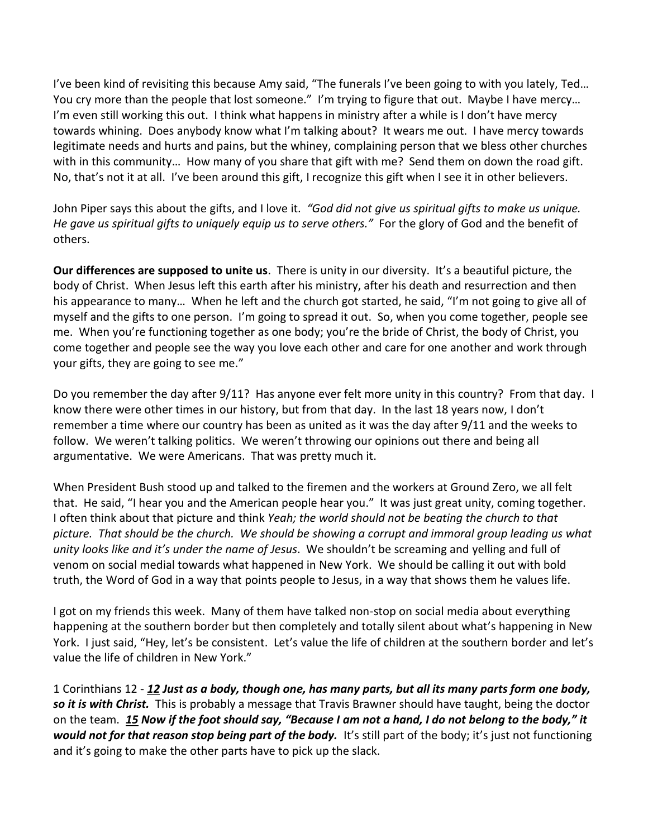I've been kind of revisiting this because Amy said, "The funerals I've been going to with you lately, Ted… You cry more than the people that lost someone." I'm trying to figure that out. Maybe I have mercy... I'm even still working this out. I think what happens in ministry after a while is I don't have mercy towards whining. Does anybody know what I'm talking about? It wears me out. I have mercy towards legitimate needs and hurts and pains, but the whiney, complaining person that we bless other churches with in this community… How many of you share that gift with me? Send them on down the road gift. No, that's not it at all. I've been around this gift, I recognize this gift when I see it in other believers.

John Piper says this about the gifts, and I love it. *"God did not give us spiritual gifts to make us unique. He gave us spiritual gifts to uniquely equip us to serve others."* For the glory of God and the benefit of others.

**Our differences are supposed to unite us**. There is unity in our diversity. It's a beautiful picture, the body of Christ. When Jesus left this earth after his ministry, after his death and resurrection and then his appearance to many… When he left and the church got started, he said, "I'm not going to give all of myself and the gifts to one person. I'm going to spread it out. So, when you come together, people see me. When you're functioning together as one body; you're the bride of Christ, the body of Christ, you come together and people see the way you love each other and care for one another and work through your gifts, they are going to see me."

Do you remember the day after 9/11? Has anyone ever felt more unity in this country? From that day. I know there were other times in our history, but from that day. In the last 18 years now, I don't remember a time where our country has been as united as it was the day after 9/11 and the weeks to follow. We weren't talking politics. We weren't throwing our opinions out there and being all argumentative. We were Americans. That was pretty much it.

When President Bush stood up and talked to the firemen and the workers at Ground Zero, we all felt that. He said, "I hear you and the American people hear you." It was just great unity, coming together. I often think about that picture and think *Yeah; the world should not be beating the church to that picture. That should be the church. We should be showing a corrupt and immoral group leading us what unity looks like and it's under the name of Jesus*. We shouldn't be screaming and yelling and full of venom on social medial towards what happened in New York. We should be calling it out with bold truth, the Word of God in a way that points people to Jesus, in a way that shows them he values life.

I got on my friends this week. Many of them have talked non-stop on social media about everything happening at the southern border but then completely and totally silent about what's happening in New York. I just said, "Hey, let's be consistent. Let's value the life of children at the southern border and let's value the life of children in New York."

1 Corinthians 12 - *[12](https://www.studylight.org/desk/?q=1co%2012:12&t1=en_niv&sr=1) Just as a body, though one, has many parts, but all its many parts form one body, so it is with Christ.* This is probably a message that Travis Brawner should have taught, being the doctor on the team. *[15](https://www.studylight.org/desk/?q=1co%2012:15&t1=en_niv&sr=1) Now if the foot should say, "Because I am not a hand, I do not belong to the body," it would not for that reason stop being part of the body.* It's still part of the body; it's just not functioning and it's going to make the other parts have to pick up the slack.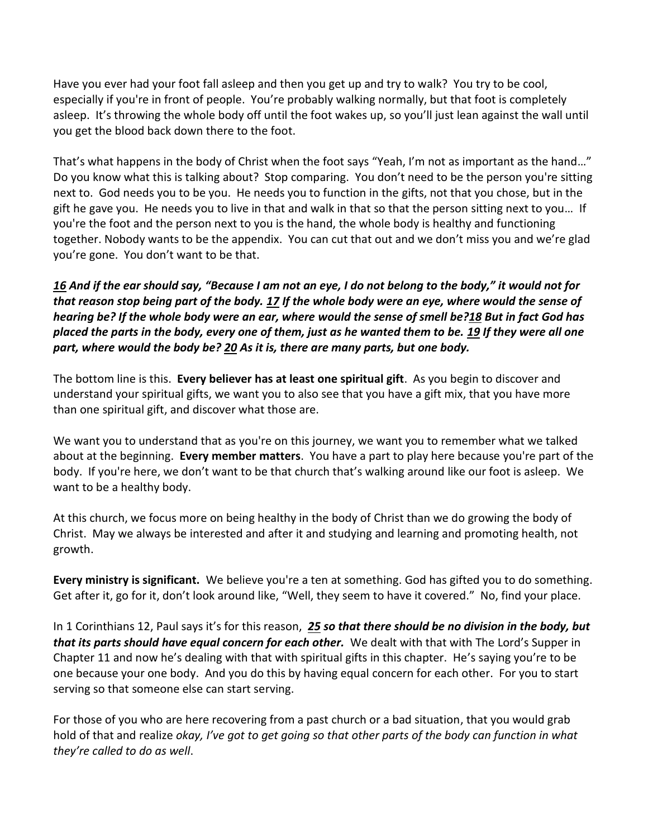Have you ever had your foot fall asleep and then you get up and try to walk? You try to be cool, especially if you're in front of people. You're probably walking normally, but that foot is completely asleep. It's throwing the whole body off until the foot wakes up, so you'll just lean against the wall until you get the blood back down there to the foot.

That's what happens in the body of Christ when the foot says "Yeah, I'm not as important as the hand…" Do you know what this is talking about? Stop comparing. You don't need to be the person you're sitting next to. God needs you to be you. He needs you to function in the gifts, not that you chose, but in the gift he gave you. He needs you to live in that and walk in that so that the person sitting next to you… If you're the foot and the person next to you is the hand, the whole body is healthy and functioning together. Nobody wants to be the appendix. You can cut that out and we don't miss you and we're glad you're gone. You don't want to be that.

*[16](https://www.studylight.org/desk/?q=1co%2012:16&t1=en_niv&sr=1) And if the ear should say, "Because I am not an eye, I do not belong to the body," it would not for that reason stop being part of the body. [17](https://www.studylight.org/desk/?q=1co%2012:17&t1=en_niv&sr=1) If the whole body were an eye, where would the sense of hearing be? If the whole body were an ear, where would the sense of smell be[?18](https://www.studylight.org/desk/?q=1co%2012:18&t1=en_niv&sr=1) But in fact God has placed the parts in the body, every one of them, just as he wanted them to be. [19](https://www.studylight.org/desk/?q=1co%2012:19&t1=en_niv&sr=1) If they were all one part, where would the body be? [20](https://www.studylight.org/desk/?q=1co%2012:20&t1=en_niv&sr=1) As it is, there are many parts, but one body.*

The bottom line is this. **Every believer has at least one spiritual gift**. As you begin to discover and understand your spiritual gifts, we want you to also see that you have a gift mix, that you have more than one spiritual gift, and discover what those are.

We want you to understand that as you're on this journey, we want you to remember what we talked about at the beginning. **Every member matters**. You have a part to play here because you're part of the body. If you're here, we don't want to be that church that's walking around like our foot is asleep. We want to be a healthy body.

At this church, we focus more on being healthy in the body of Christ than we do growing the body of Christ. May we always be interested and after it and studying and learning and promoting health, not growth.

**Every ministry is significant.** We believe you're a ten at something. God has gifted you to do something. Get after it, go for it, don't look around like, "Well, they seem to have it covered." No, find your place.

In 1 Corinthians 12, Paul says it's for this reason, *[25](https://www.studylight.org/desk/?q=1co%2012:25&t1=en_niv&sr=1) so that there should be no division in the body, but that its parts should have equal concern for each other.* We dealt with that with The Lord's Supper in Chapter 11 and now he's dealing with that with spiritual gifts in this chapter. He's saying you're to be one because your one body. And you do this by having equal concern for each other. For you to start serving so that someone else can start serving.

For those of you who are here recovering from a past church or a bad situation, that you would grab hold of that and realize *okay, I've got to get going so that other parts of the body can function in what they're called to do as well*.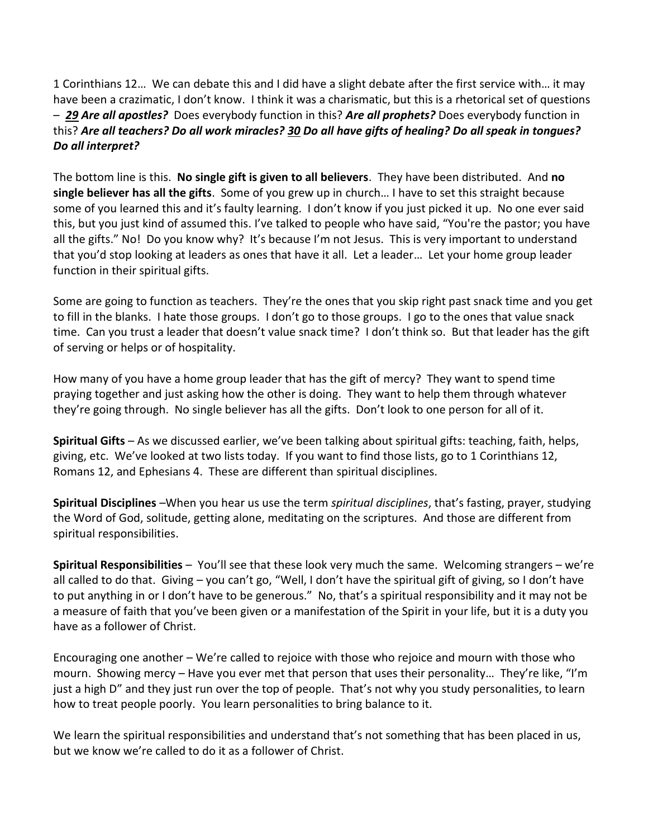1 Corinthians 12… We can debate this and I did have a slight debate after the first service with… it may have been a crazimatic, I don't know. I think it was a charismatic, but this is a rhetorical set of questions – *[29](https://www.studylight.org/desk/?q=1co%2012:29&t1=en_niv&sr=1) Are all apostles?* Does everybody function in this? *Are all prophets?* Does everybody function in this? *Are all teachers? Do all work miracles[? 30](https://www.studylight.org/desk/?q=1co%2012:30&t1=en_niv&sr=1) Do all have gifts of healing? Do all speak in tongues? Do all interpret?* 

The bottom line is this. **No single gift is given to all believers**. They have been distributed. And **no single believer has all the gifts**. Some of you grew up in church… I have to set this straight because some of you learned this and it's faulty learning. I don't know if you just picked it up. No one ever said this, but you just kind of assumed this. I've talked to people who have said, "You're the pastor; you have all the gifts." No! Do you know why? It's because I'm not Jesus. This is very important to understand that you'd stop looking at leaders as ones that have it all. Let a leader… Let your home group leader function in their spiritual gifts.

Some are going to function as teachers. They're the ones that you skip right past snack time and you get to fill in the blanks. I hate those groups. I don't go to those groups. I go to the ones that value snack time. Can you trust a leader that doesn't value snack time? I don't think so. But that leader has the gift of serving or helps or of hospitality.

How many of you have a home group leader that has the gift of mercy? They want to spend time praying together and just asking how the other is doing. They want to help them through whatever they're going through. No single believer has all the gifts. Don't look to one person for all of it.

**Spiritual Gifts** – As we discussed earlier, we've been talking about spiritual gifts: teaching, faith, helps, giving, etc. We've looked at two lists today. If you want to find those lists, go to 1 Corinthians 12, Romans 12, and Ephesians 4. These are different than spiritual disciplines.

**Spiritual Disciplines** –When you hear us use the term *spiritual disciplines*, that's fasting, prayer, studying the Word of God, solitude, getting alone, meditating on the scriptures. And those are different from spiritual responsibilities.

**Spiritual Responsibilities** – You'll see that these look very much the same. Welcoming strangers – we're all called to do that. Giving – you can't go, "Well, I don't have the spiritual gift of giving, so I don't have to put anything in or I don't have to be generous." No, that's a spiritual responsibility and it may not be a measure of faith that you've been given or a manifestation of the Spirit in your life, but it is a duty you have as a follower of Christ.

Encouraging one another – We're called to rejoice with those who rejoice and mourn with those who mourn. Showing mercy – Have you ever met that person that uses their personality… They're like, "I'm just a high D" and they just run over the top of people. That's not why you study personalities, to learn how to treat people poorly. You learn personalities to bring balance to it.

We learn the spiritual responsibilities and understand that's not something that has been placed in us, but we know we're called to do it as a follower of Christ.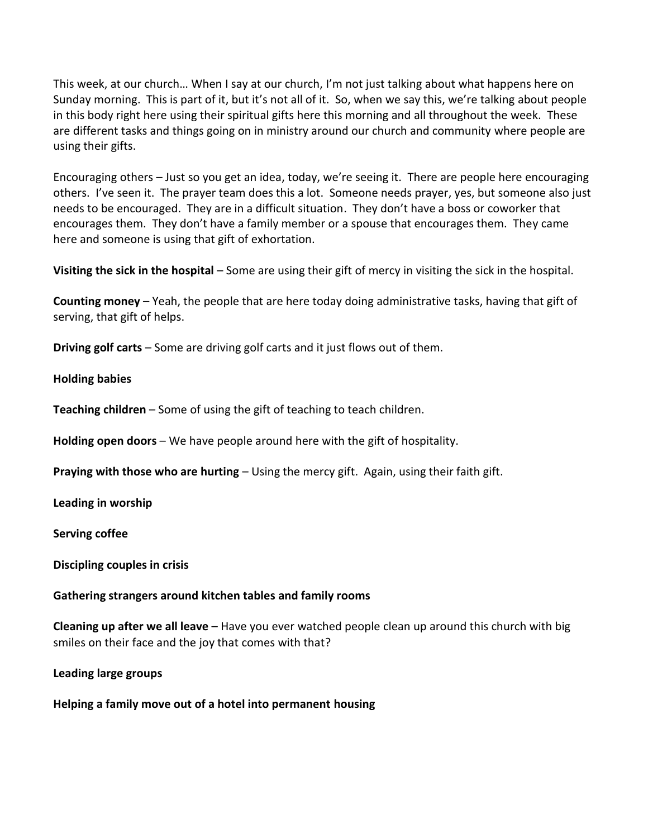This week, at our church… When I say at our church, I'm not just talking about what happens here on Sunday morning. This is part of it, but it's not all of it. So, when we say this, we're talking about people in this body right here using their spiritual gifts here this morning and all throughout the week. These are different tasks and things going on in ministry around our church and community where people are using their gifts.

Encouraging others – Just so you get an idea, today, we're seeing it. There are people here encouraging others. I've seen it. The prayer team does this a lot. Someone needs prayer, yes, but someone also just needs to be encouraged. They are in a difficult situation. They don't have a boss or coworker that encourages them. They don't have a family member or a spouse that encourages them. They came here and someone is using that gift of exhortation.

**Visiting the sick in the hospital** – Some are using their gift of mercy in visiting the sick in the hospital.

**Counting money** – Yeah, the people that are here today doing administrative tasks, having that gift of serving, that gift of helps.

**Driving golf carts** – Some are driving golf carts and it just flows out of them.

## **Holding babies**

**Teaching children** – Some of using the gift of teaching to teach children.

**Holding open doors** – We have people around here with the gift of hospitality.

**Praying with those who are hurting** – Using the mercy gift. Again, using their faith gift.

**Leading in worship** 

**Serving coffee** 

### **Discipling couples in crisis**

### **Gathering strangers around kitchen tables and family rooms**

**Cleaning up after we all leave** – Have you ever watched people clean up around this church with big smiles on their face and the joy that comes with that?

### **Leading large groups**

**Helping a family move out of a hotel into permanent housing**